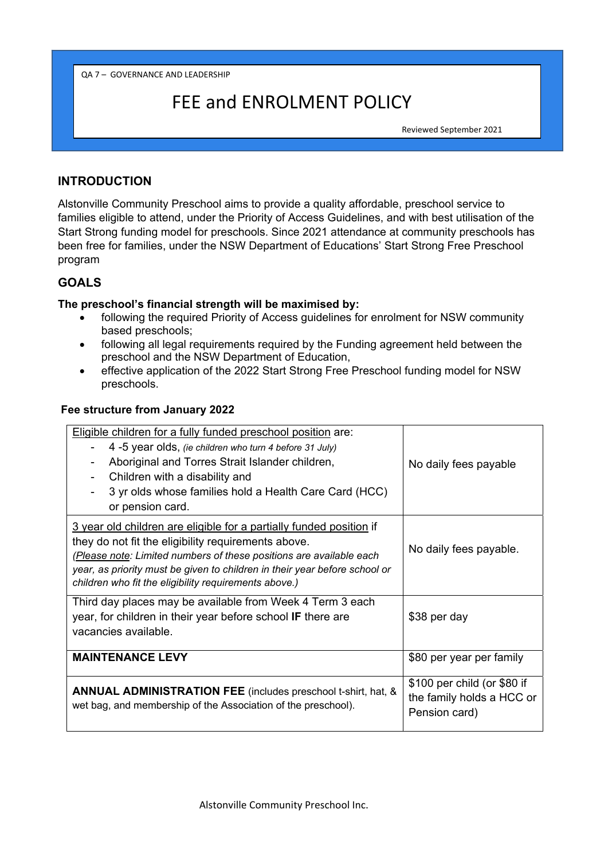QA 7 – GOVERNANCE AND LEADERSHIP

# FEE and ENROLMENT POLICY

Reviewed September 2021

## **INTRODUCTION**

Alstonville Community Preschool aims to provide a quality affordable, preschool service to families eligible to attend, under the Priority of Access Guidelines, and with best utilisation of the Start Strong funding model for preschools. Since 2021 attendance at community preschools has been free for families, under the NSW Department of Educations' Start Strong Free Preschool program

# **GOALS**

#### **The preschool's financial strength will be maximised by:**

- following the required Priority of Access guidelines for enrolment for NSW community based preschools;
- following all legal requirements required by the Funding agreement held between the preschool and the NSW Department of Education,
- effective application of the 2022 Start Strong Free Preschool funding model for NSW preschools.

#### **Fee structure from January 2022**

| Eligible children for a fully funded preschool position are:<br>4 -5 year olds, (ie children who turn 4 before 31 July)<br>Aboriginal and Torres Strait Islander children,<br>Children with a disability and<br>3 yr olds whose families hold a Health Care Card (HCC)<br>or pension card.                                               | No daily fees payable                                                     |
|------------------------------------------------------------------------------------------------------------------------------------------------------------------------------------------------------------------------------------------------------------------------------------------------------------------------------------------|---------------------------------------------------------------------------|
| 3 year old children are eligible for a partially funded position if<br>they do not fit the eligibility requirements above.<br>(Please note: Limited numbers of these positions are available each<br>year, as priority must be given to children in their year before school or<br>children who fit the eligibility requirements above.) | No daily fees payable.                                                    |
| Third day places may be available from Week 4 Term 3 each<br>year, for children in their year before school IF there are<br>vacancies available.                                                                                                                                                                                         | \$38 per day                                                              |
| <b>MAINTENANCE LEVY</b>                                                                                                                                                                                                                                                                                                                  | \$80 per year per family                                                  |
| <b>ANNUAL ADMINISTRATION FEE</b> (includes preschool t-shirt, hat, &<br>wet bag, and membership of the Association of the preschool).                                                                                                                                                                                                    | \$100 per child (or \$80 if<br>the family holds a HCC or<br>Pension card) |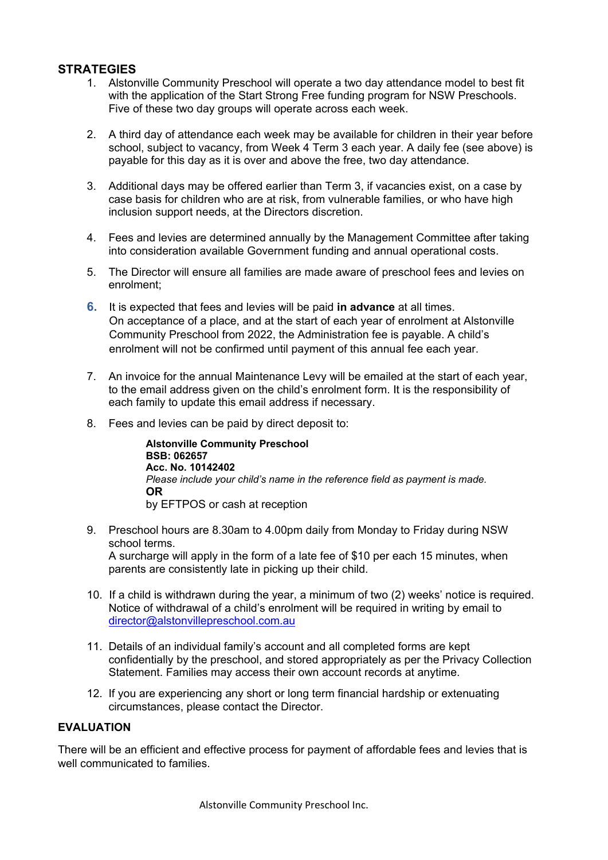## **STRATEGIES**

- 1. Alstonville Community Preschool will operate a two day attendance model to best fit with the application of the Start Strong Free funding program for NSW Preschools. Five of these two day groups will operate across each week.
- 2. A third day of attendance each week may be available for children in their year before school, subject to vacancy, from Week 4 Term 3 each year. A daily fee (see above) is payable for this day as it is over and above the free, two day attendance.
- 3. Additional days may be offered earlier than Term 3, if vacancies exist, on a case by case basis for children who are at risk, from vulnerable families, or who have high inclusion support needs, at the Directors discretion.
- 4. Fees and levies are determined annually by the Management Committee after taking into consideration available Government funding and annual operational costs.
- 5. The Director will ensure all families are made aware of preschool fees and levies on enrolment;
- **6.** It is expected that fees and levies will be paid **in advance** at all times. On acceptance of a place, and at the start of each year of enrolment at Alstonville Community Preschool from 2022, the Administration fee is payable. A child's enrolment will not be confirmed until payment of this annual fee each year.
- 7. An invoice for the annual Maintenance Levy will be emailed at the start of each year, to the email address given on the child's enrolment form. It is the responsibility of each family to update this email address if necessary.
- 8. Fees and levies can be paid by direct deposit to:

**Alstonville Community Preschool BSB: 062657 Acc. No. 10142402**  *Please include your child's name in the reference field as payment is made.*  **OR**  by EFTPOS or cash at reception

- 9. Preschool hours are 8.30am to 4.00pm daily from Monday to Friday during NSW school terms. A surcharge will apply in the form of a late fee of \$10 per each 15 minutes, when parents are consistently late in picking up their child.
- 10. If a child is withdrawn during the year, a minimum of two (2) weeks' notice is required. Notice of withdrawal of a child's enrolment will be required in writing by email to director@alstonvillepreschool.com.au
- 11. Details of an individual family's account and all completed forms are kept confidentially by the preschool, and stored appropriately as per the Privacy Collection Statement. Families may access their own account records at anytime.
- 12. If you are experiencing any short or long term financial hardship or extenuating circumstances, please contact the Director.

#### **EVALUATION**

There will be an efficient and effective process for payment of affordable fees and levies that is well communicated to families.